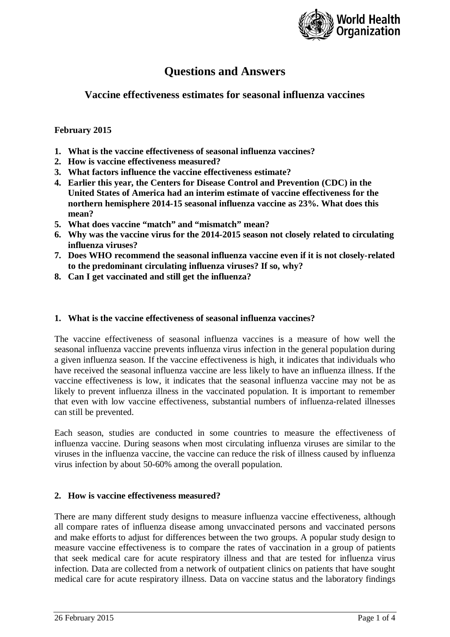

# **Questions and Answers**

# **Vaccine effectiveness estimates for seasonal influenza vaccines**

# **February 2015**

- **1. What is the vaccine effectiveness of seasonal influenza vaccines?**
- **2. How is vaccine effectiveness measured?**
- **3. What factors influence the vaccine effectiveness estimate?**
- **4. Earlier this year, the Centers for Disease Control and Prevention (CDC) in the United States of America had an interim estimate of vaccine effectiveness for the northern hemisphere 2014-15 seasonal influenza vaccine as 23%. What does this mean?**
- **5. What does vaccine "match" and "mismatch" mean?**
- **6. Why was the vaccine virus for the 2014-2015 season not closely related to circulating influenza viruses?**
- **7. Does WHO recommend the seasonal influenza vaccine even if it is not closely-related to the predominant circulating influenza viruses? If so, why?**
- **8. Can I get vaccinated and still get the influenza?**

#### **1. What is the vaccine effectiveness of seasonal influenza vaccines?**

The vaccine effectiveness of seasonal influenza vaccines is a measure of how well the seasonal influenza vaccine prevents influenza virus infection in the general population during a given influenza season. If the vaccine effectiveness is high, it indicates that individuals who have received the seasonal influenza vaccine are less likely to have an influenza illness. If the vaccine effectiveness is low, it indicates that the seasonal influenza vaccine may not be as likely to prevent influenza illness in the vaccinated population. It is important to remember that even with low vaccine effectiveness, substantial numbers of influenza-related illnesses can still be prevented.

Each season, studies are conducted in some countries to measure the effectiveness of influenza vaccine. During seasons when most circulating influenza viruses are similar to the viruses in the influenza vaccine, the vaccine can reduce the risk of illness caused by influenza virus infection by about 50-60% among the overall population.

#### **2. How is vaccine effectiveness measured?**

There are many different study designs to measure influenza vaccine effectiveness, although all compare rates of influenza disease among unvaccinated persons and vaccinated persons and make efforts to adjust for differences between the two groups. A popular study design to measure vaccine effectiveness is to compare the rates of vaccination in a group of patients that seek medical care for acute respiratory illness and that are tested for influenza virus infection. Data are collected from a network of outpatient clinics on patients that have sought medical care for acute respiratory illness. Data on vaccine status and the laboratory findings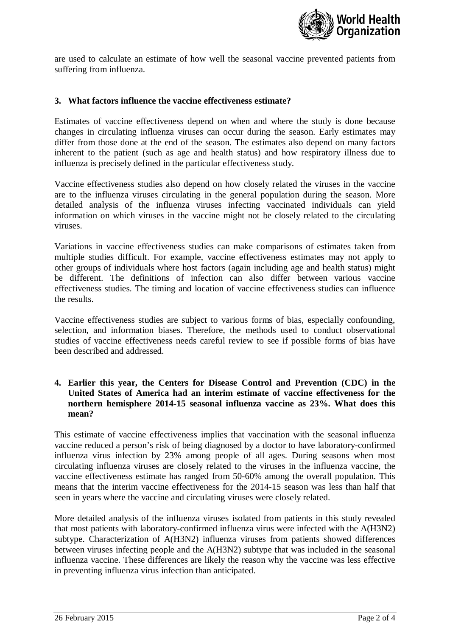

are used to calculate an estimate of how well the seasonal vaccine prevented patients from suffering from influenza.

#### **3. What factors influence the vaccine effectiveness estimate?**

Estimates of vaccine effectiveness depend on when and where the study is done because changes in circulating influenza viruses can occur during the season. Early estimates may differ from those done at the end of the season. The estimates also depend on many factors inherent to the patient (such as age and health status) and how respiratory illness due to influenza is precisely defined in the particular effectiveness study.

Vaccine effectiveness studies also depend on how closely related the viruses in the vaccine are to the influenza viruses circulating in the general population during the season. More detailed analysis of the influenza viruses infecting vaccinated individuals can yield information on which viruses in the vaccine might not be closely related to the circulating viruses.

Variations in vaccine effectiveness studies can make comparisons of estimates taken from multiple studies difficult. For example, vaccine effectiveness estimates may not apply to other groups of individuals where host factors (again including age and health status) might be different. The definitions of infection can also differ between various vaccine effectiveness studies. The timing and location of vaccine effectiveness studies can influence the results.

Vaccine effectiveness studies are subject to various forms of bias, especially confounding, selection, and information biases. Therefore, the methods used to conduct observational studies of vaccine effectiveness needs careful review to see if possible forms of bias have been described and addressed.

#### **4. Earlier this year, the Centers for Disease Control and Prevention (CDC) in the United States of America had an interim estimate of vaccine effectiveness for the northern hemisphere 2014-15 seasonal influenza vaccine as 23%. What does this mean?**

This estimate of vaccine effectiveness implies that vaccination with the seasonal influenza vaccine reduced a person's risk of being diagnosed by a doctor to have laboratory-confirmed influenza virus infection by 23% among people of all ages. During seasons when most circulating influenza viruses are closely related to the viruses in the influenza vaccine, the vaccine effectiveness estimate has ranged from 50-60% among the overall population. This means that the interim vaccine effectiveness for the 2014-15 season was less than half that seen in years where the vaccine and circulating viruses were closely related.

More detailed analysis of the influenza viruses isolated from patients in this study revealed that most patients with laboratory-confirmed influenza virus were infected with the A(H3N2) subtype. Characterization of A(H3N2) influenza viruses from patients showed differences between viruses infecting people and the A(H3N2) subtype that was included in the seasonal influenza vaccine. These differences are likely the reason why the vaccine was less effective in preventing influenza virus infection than anticipated.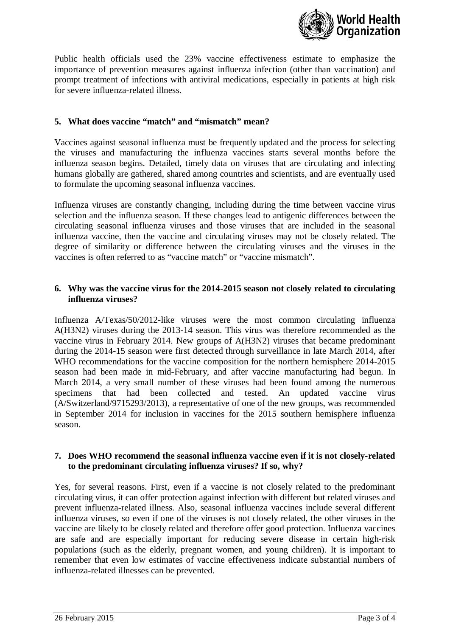

Public health officials used the 23% vaccine effectiveness estimate to emphasize the importance of prevention measures against influenza infection (other than vaccination) and prompt treatment of infections with antiviral medications, especially in patients at high risk for severe influenza-related illness.

## **5. What does vaccine "match" and "mismatch" mean?**

Vaccines against seasonal influenza must be frequently updated and the process for selecting the viruses and manufacturing the influenza vaccines starts several months before the influenza season begins. Detailed, timely data on viruses that are circulating and infecting humans globally are gathered, shared among countries and scientists, and are eventually used to formulate the upcoming seasonal influenza vaccines.

Influenza viruses are constantly changing, including during the time between vaccine virus selection and the influenza season. If these changes lead to antigenic differences between the circulating seasonal influenza viruses and those viruses that are included in the seasonal influenza vaccine, then the vaccine and circulating viruses may not be closely related. The degree of similarity or difference between the circulating viruses and the viruses in the vaccines is often referred to as "vaccine match" or "vaccine mismatch".

#### **6. Why was the vaccine virus for the 2014-2015 season not closely related to circulating influenza viruses?**

Influenza A/Texas/50/2012-like viruses were the most common circulating influenza A(H3N2) viruses during the 2013-14 season. This virus was therefore recommended as the vaccine virus in February 2014. New groups of A(H3N2) viruses that became predominant during the 2014-15 season were first detected through surveillance in late March 2014, after WHO recommendations for the vaccine composition for the northern hemisphere 2014-2015 season had been made in mid-February, and after vaccine manufacturing had begun. In March 2014, a very small number of these viruses had been found among the numerous specimens that had been collected and tested. An updated vaccine virus (A/Switzerland/9715293/2013), a representative of one of the new groups, was recommended in September 2014 for inclusion in vaccines for the 2015 southern hemisphere influenza season.

#### **7. Does WHO recommend the seasonal influenza vaccine even if it is not closely-related to the predominant circulating influenza viruses? If so, why?**

Yes, for several reasons. First, even if a vaccine is not closely related to the predominant circulating virus, it can offer protection against infection with different but related viruses and prevent influenza-related illness. Also, seasonal influenza vaccines include several different influenza viruses, so even if one of the viruses is not closely related, the other viruses in the vaccine are likely to be closely related and therefore offer good protection. Influenza vaccines are safe and are especially important for reducing severe disease in certain high-risk populations (such as the elderly, pregnant women, and young children). It is important to remember that even low estimates of vaccine effectiveness indicate substantial numbers of influenza-related illnesses can be prevented.